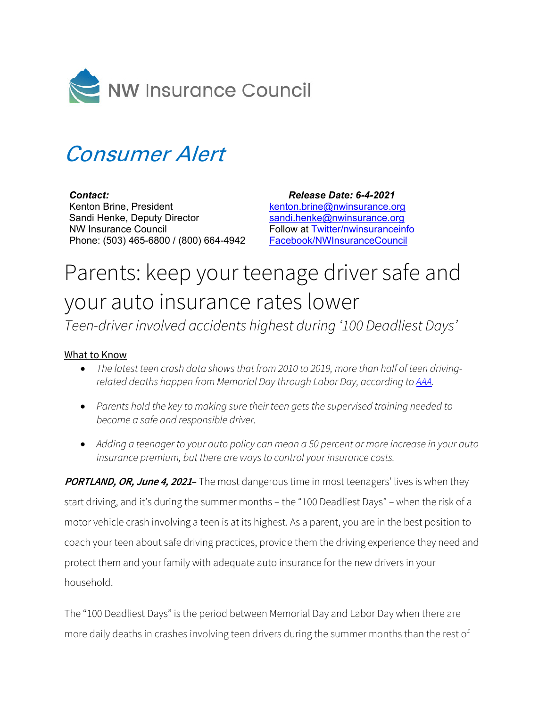

## Consumer Alert

*Contact:* Kenton Brine, President Sandi Henke, Deputy Director NW Insurance Council Phone: (503) 465-6800 / (800) 664-4942

 *Release Date: 6-4-2021* [kenton.brine@nwinsurance.org](mailto:kenton.brine@nwinsurance.org) [sandi.henke@nwinsurance.org](mailto:sandi.henke@nwinsurance.org) Follow at [Twitter/nwinsuranceinfo](http://twitter.com/#!/nwinsuranceinfo) [Facebook/NWInsuranceCouncil](https://www.facebook.com/NWInsuranceCouncil)

## Parents: keep your teenage driver safe and your auto insurance rates lower

*Teen-driver involved accidents highest during '100 Deadliest Days'*

## What to Know

- *The latest teen crash data shows that from 2010 to 2019, more than half of teen drivingrelated deaths happen from Memorial Day through Labor Day, according to [AAA.](https://newsroom.aaa.com/2021/06/summertime-blues-the-return-of-the-100-deadliest-days-for-teen-drivers/)*
- *Parents hold the key to making sure their teen gets the supervised training needed to become a safe and responsible driver.*
- *Adding a teenager to your auto policy can mean a 50 percent or more increase in your auto insurance premium, but there are ways to control your insurance costs.*

**PORTLAND, OR, June 4, <sup>2021</sup>–** The most dangerous time in most teenagers' lives is when they start driving, and it's during the summer months – the "100 Deadliest Days" – when the risk of a motor vehicle crash involving a teen is at its highest. As a parent, you are in the best position to coach your teen about safe driving practices, provide them the driving experience they need and protect them and your family with adequate auto insurance for the new drivers in your household.

The "100 Deadliest Days" is the period between Memorial Day and Labor Day when there are more daily deaths in crashes involving teen drivers during the summer months than the rest of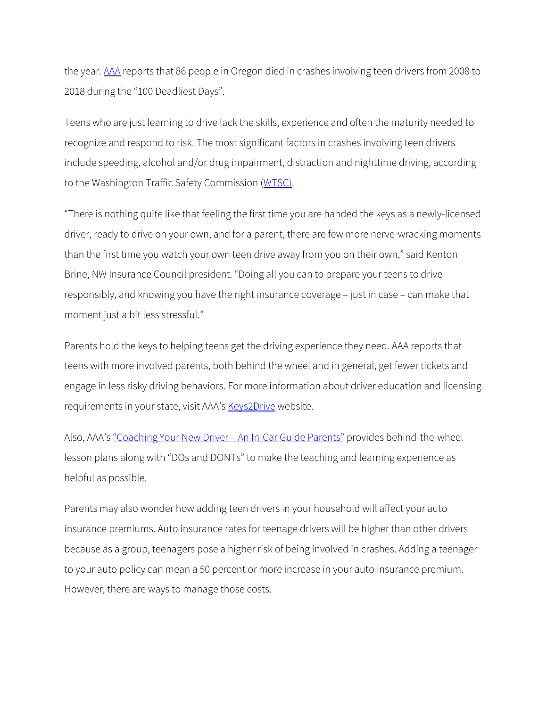the year. [AAA](https://info.oregon.aaa.com/aaa-covid-19-restrictions-ease-as-100-deadliest-days-begin-for-teen-drivers/) reports that 86 people in Oregon died in crashes involving teen drivers from 2008 to 2018 during the "100 Deadliest Days".

Teens who are just learning to drive lack the skills, experience and often the maturity needed to recognize and respond to risk. The most significant factors in crashes involving teen drivers include speeding, alcohol and/or drug impairment, distraction and nighttime driving, according to the Washington Traffic Safety Commission [\(WTSC\)](https://wtsc.wa.gov/).

"There is nothing quite like that feeling the first time you are handed the keys as a newly-licensed driver, ready to drive on your own, and for a parent, there are few more nerve-wracking moments than the first time you watch your own teen drive away from you on their own," said Kenton Brine, NW Insurance Council president. "Doing all you can to prepare your teens to drive responsibly, and knowing you have the right insurance coverage – just in case – can make that moment just a bit less stressful."

Parents hold the keys to helping teens get the driving experience they need. AAA reports that teens with more involved parents, both behind the wheel and in general, get fewer tickets and engage in less risky driving behaviors. For more information about driver education and licensing requirements in your state, visit AAA's [Keys2Drive](https://teendriving.aaa.com/WA/getting-ready/driver-education/) website.

Also, AAA's ["Coaching Your New Driver –](https://aaa.biz/aaacampus/aaainstitute/drivertraining/ParentCoachingGuide2020.pdf) An In-Car Guide Parents" provides behind-the-wheel lesson plans along with "DOs and DONTs" to make the teaching and learning experience as helpful as possible.

Parents may also wonder how adding teen drivers in your household will affect your auto insurance premiums. Auto insurance rates for teenage drivers will be higher than other drivers because as a group, teenagers pose a higher risk of being involved in crashes. Adding a teenager to your auto policy can mean a 50 percent or more increase in your auto insurance premium. However, there are ways to manage those costs.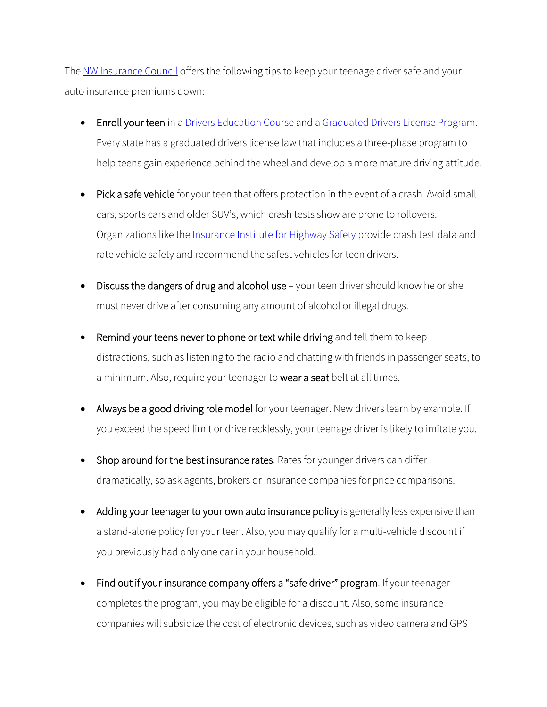The [NW Insurance Council](http://www.nwinsurance.org/) offers the following tips to keep your teenage driver safe and your auto insurance premiums down:

- Enroll your teen in a [Drivers Education Course](http://teendriving.aaa.com/OR/) and a [Graduated Drivers License Program.](https://www.oregon.gov/ODOT/DMV/Teen/Pages/Index.aspx) Every state has a graduated drivers license law that includes a three-phase program to help teens gain experience behind the wheel and develop a more mature driving attitude.
- Pick a safe vehicle for your teen that offers protection in the event of a crash. Avoid small cars, sports cars and older SUV's, which crash tests show are prone to rollovers. Organizations like the **Insurance Institute for Highway Safety** provide crash test data and rate vehicle safety and recommend the safest vehicles for teen drivers.
- Discuss the dangers of drug and alcohol use your teen driver should know he or she must never drive after consuming any amount of alcohol or illegal drugs.
- Remind your teens never to phone or text while driving and tell them to keep distractions, such as listening to the radio and chatting with friends in passenger seats, to a minimum. Also, require your teenager to wear a seat belt at all times.
- Always be a good driving role model for your teenager. New drivers learn by example. If you exceed the speed limit or drive recklessly, your teenage driver is likely to imitate you.
- Shop around for the best insurance rates. Rates for younger drivers can differ dramatically, so ask agents, brokers or insurance companies for price comparisons.
- Adding your teenager to your own auto insurance policy is generally less expensive than a stand-alone policy for your teen. Also, you may qualify for a multi-vehicle discount if you previously had only one car in your household.
- Find out if your insurance company offers a "safe driver" program. If your teenager completes the program, you may be eligible for a discount. Also, some insurance companies will subsidize the cost of electronic devices, such as video camera and GPS